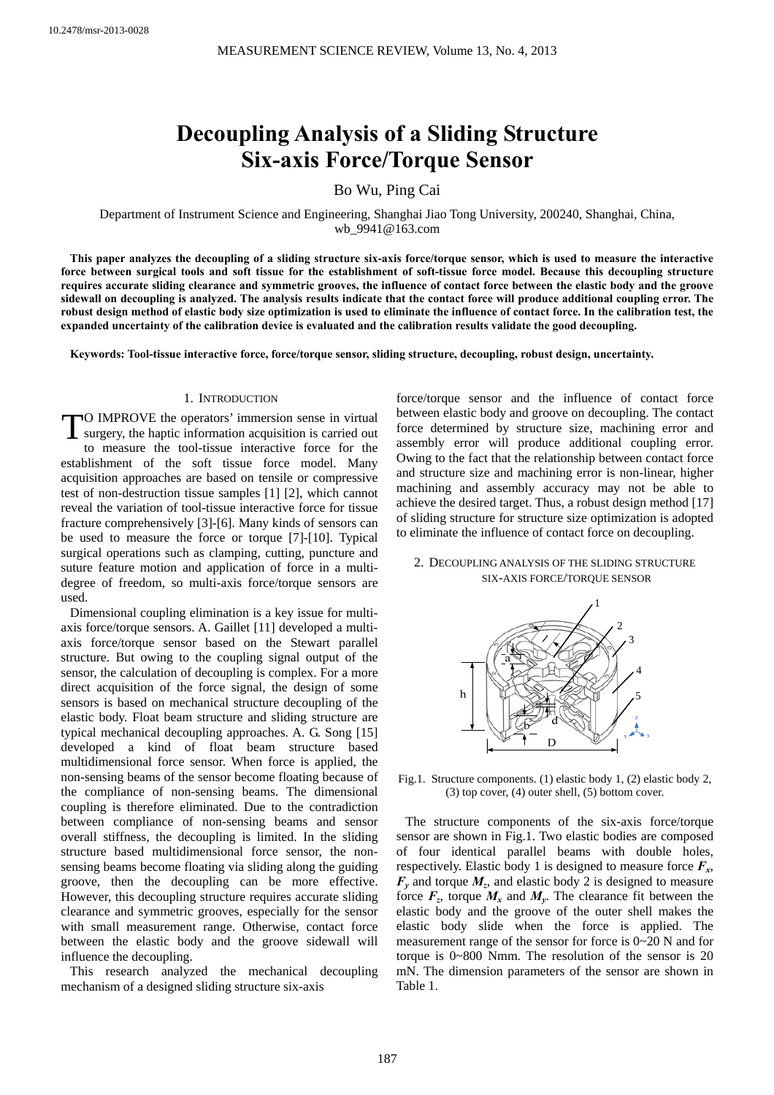# **Decoupling Analysis of a Sliding Structure Six-axis Force/Torque Sensor**

Bo Wu, Ping Cai

Department of Instrument Science and Engineering, Shanghai Jiao Tong University, 200240, Shanghai, China, wb\_9941@163.com

**This paper analyzes the decoupling of a sliding structure six-axis force/torque sensor, which is used to measure the interactive force between surgical tools and soft tissue for the establishment of soft-tissue force model. Because this decoupling structure requires accurate sliding clearance and symmetric grooves, the influence of contact force between the elastic body and the groove sidewall on decoupling is analyzed. The analysis results indicate that the contact force will produce additional coupling error. The robust design method of elastic body size optimization is used to eliminate the influence of contact force. In the calibration test, the expanded uncertainty of the calibration device is evaluated and the calibration results validate the good decoupling.** 

**Keywords: Tool-tissue interactive force, force/torque sensor, sliding structure, decoupling, robust design, uncertainty.**

#### 1. INTRODUCTION

TO IMPROVE the operators' immersion sense in virtual surgery, the haptic information acquisition is carried out surgery, the haptic information acquisition is carried out to measure the tool-tissue interactive force for the establishment of the soft tissue force model. Many acquisition approaches are based on tensile or compressive test of non-destruction tissue samples [1] [2], which cannot reveal the variation of tool-tissue interactive force for tissue fracture comprehensively [3]-[6]. Many kinds of sensors can be used to measure the force or torque [7]-[10]. Typical surgical operations such as clamping, cutting, puncture and suture feature motion and application of force in a multidegree of freedom, so multi-axis force/torque sensors are used.

Dimensional coupling elimination is a key issue for multiaxis force/torque sensors. A. Gaillet [11] developed a multiaxis force/torque sensor based on the Stewart parallel structure. But owing to the coupling signal output of the sensor, the calculation of decoupling is complex. For a more direct acquisition of the force signal, the design of some sensors is based on mechanical structure decoupling of the elastic body. Float beam structure and sliding structure are typical mechanical decoupling approaches. A. G. Song [15] developed a kind of float beam structure based multidimensional force sensor. When force is applied, the non-sensing beams of the sensor become floating because of the compliance of non-sensing beams. The dimensional coupling is therefore eliminated. Due to the contradiction between compliance of non-sensing beams and sensor overall stiffness, the decoupling is limited. In the sliding structure based multidimensional force sensor, the nonsensing beams become floating via sliding along the guiding groove, then the decoupling can be more effective. However, this decoupling structure requires accurate sliding clearance and symmetric grooves, especially for the sensor with small measurement range. Otherwise, contact force between the elastic body and the groove sidewall will influence the decoupling.

This research analyzed the mechanical decoupling mechanism of a designed sliding structure six-axis

force/torque sensor and the influence of contact force between elastic body and groove on decoupling. The contact force determined by structure size, machining error and assembly error will produce additional coupling error. Owing to the fact that the relationship between contact force and structure size and machining error is non-linear, higher machining and assembly accuracy may not be able to achieve the desired target. Thus, a robust design method [17] of sliding structure for structure size optimization is adopted to eliminate the influence of contact force on decoupling.

#### 2. DECOUPLING ANALYSIS OF THE SLIDING STRUCTURE SIX-AXIS FORCE/TORQUE SENSOR



Fig.1. Structure components. (1) elastic body 1, (2) elastic body 2, (3) top cover, (4) outer shell, (5) bottom cover.

The structure components of the six-axis force/torque sensor are shown in Fig.1. Two elastic bodies are composed of four identical parallel beams with double holes, respectively. Elastic body 1 is designed to measure force  $F_x$ ,  $F<sub>v</sub>$  and torque  $M<sub>z</sub>$ , and elastic body 2 is designed to measure force  $F_z$ , torque  $M_x$  and  $M_y$ . The clearance fit between the elastic body and the groove of the outer shell makes the elastic body slide when the force is applied. The measurement range of the sensor for force is 0~20 N and for torque is 0~800 Nmm. The resolution of the sensor is 20 mN. The dimension parameters of the sensor are shown in Table 1.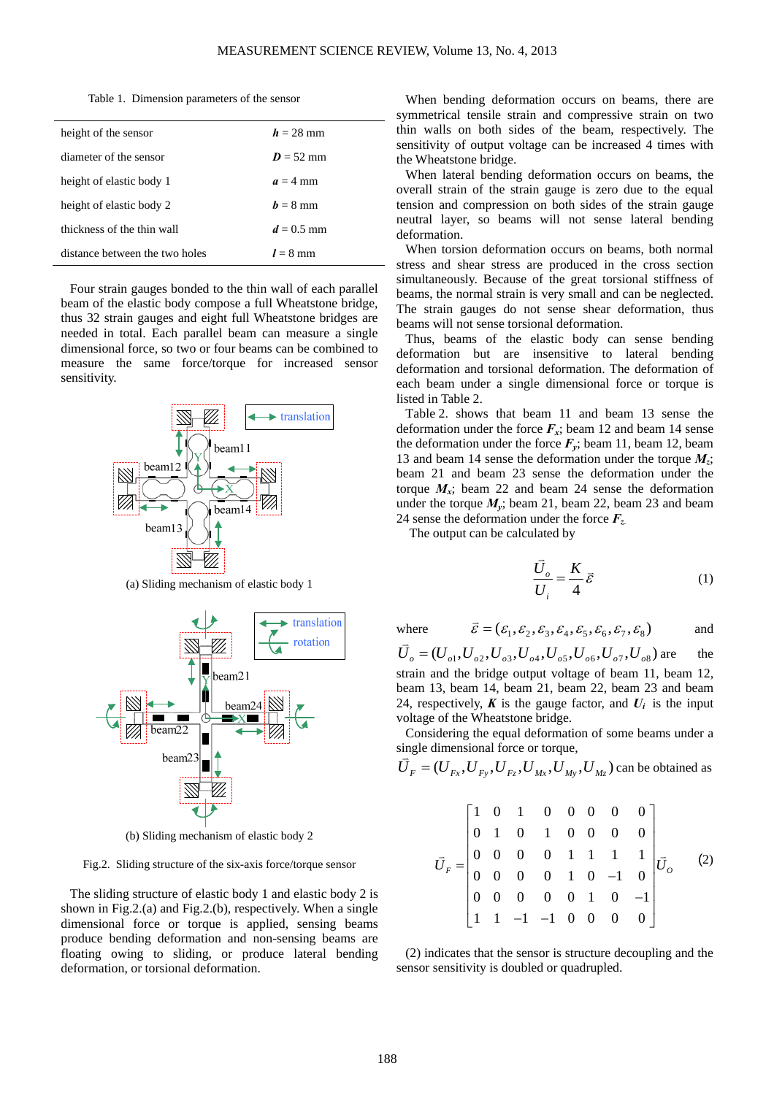|  | Table 1. Dimension parameters of the sensor |  |  |  |
|--|---------------------------------------------|--|--|--|
|--|---------------------------------------------|--|--|--|

| height of the sensor           | $h = 28$ mm  |
|--------------------------------|--------------|
| diameter of the sensor         | $D = 52$ mm  |
| height of elastic body 1       | $a = 4$ mm   |
| height of elastic body 2       | $h = 8$ mm   |
| thickness of the thin wall     | $d = 0.5$ mm |
| distance between the two holes | $l = 8$ mm   |

Four strain gauges bonded to the thin wall of each parallel beam of the elastic body compose a full Wheatstone bridge, thus 32 strain gauges and eight full Wheatstone bridges are needed in total. Each parallel beam can measure a single dimensional force, so two or four beams can be combined to measure the same force/torque for increased sensor sensitivity.



(a) Sliding mechanism of elastic body 1



(b) Sliding mechanism of elastic body 2

Fig.2. Sliding structure of the six-axis force/torque sensor

The sliding structure of elastic body 1 and elastic body 2 is shown in Fig.2.(a) and Fig.2.(b), respectively. When a single dimensional force or torque is applied, sensing beams produce bending deformation and non-sensing beams are floating owing to sliding, or produce lateral bending deformation, or torsional deformation.

When bending deformation occurs on beams, there are symmetrical tensile strain and compressive strain on two thin walls on both sides of the beam, respectively. The sensitivity of output voltage can be increased 4 times with the Wheatstone bridge.

When lateral bending deformation occurs on beams, the overall strain of the strain gauge is zero due to the equal tension and compression on both sides of the strain gauge neutral layer, so beams will not sense lateral bending deformation.

When torsion deformation occurs on beams, both normal stress and shear stress are produced in the cross section simultaneously. Because of the great torsional stiffness of beams, the normal strain is very small and can be neglected. The strain gauges do not sense shear deformation, thus beams will not sense torsional deformation.

Thus, beams of the elastic body can sense bending deformation but are insensitive to lateral bending deformation and torsional deformation. The deformation of each beam under a single dimensional force or torque is listed in Table 2.

Table 2. shows that beam 11 and beam 13 sense the deformation under the force  $F_x$ ; beam 12 and beam 14 sense the deformation under the force  $F_y$ ; beam 11, beam 12, beam 13 and beam 14 sense the deformation under the torque *Mz*; beam 21 and beam 23 sense the deformation under the torque  $M_x$ ; beam 22 and beam 24 sense the deformation under the torque  $M_y$ ; beam 21, beam 22, beam 23 and beam 24 sense the deformation under the force *Fz*.

The output can be calculated by

$$
\frac{\vec{U}_o}{U_i} = \frac{K}{4}\vec{\varepsilon}
$$
 (1)

where  $\vec{\varepsilon} = (\varepsilon_1, \varepsilon_2, \varepsilon_3, \varepsilon_4, \varepsilon_5, \varepsilon_6, \varepsilon_7, \varepsilon_8)$  and

 $\overrightarrow{U}_a = (U_{a1}, U_{a2}, U_{a3}, U_{a4}, U_{a5}, U_{a6}, U_{a7}, U_{a8})$  are the strain and the bridge output voltage of beam 11, beam 12, beam 13, beam 14, beam 21, beam 22, beam 23 and beam 24, respectively,  $\boldsymbol{K}$  is the gauge factor, and  $\boldsymbol{U}_i$  is the input voltage of the Wheatstone bridge.

Considering the equal deformation of some beams under a single dimensional force or torque,

$$
\vec{U}_F = (U_{Fx}, U_{Fy}, U_{Fz}, U_{Mx}, U_{My}, U_{Mz})
$$
 can be obtained as

$$
\vec{U}_F = \begin{bmatrix}\n1 & 0 & 1 & 0 & 0 & 0 & 0 & 0 \\
0 & 1 & 0 & 1 & 0 & 0 & 0 & 0 \\
0 & 0 & 0 & 0 & 1 & 1 & 1 & 1 \\
0 & 0 & 0 & 0 & 1 & 0 & -1 & 0 \\
0 & 0 & 0 & 0 & 0 & 1 & 0 & -1 \\
1 & 1 & -1 & -1 & 0 & 0 & 0 & 0\n\end{bmatrix}
$$
\n(2)

(2) indicates that the sensor is structure decoupling and the sensor sensitivity is doubled or quadrupled.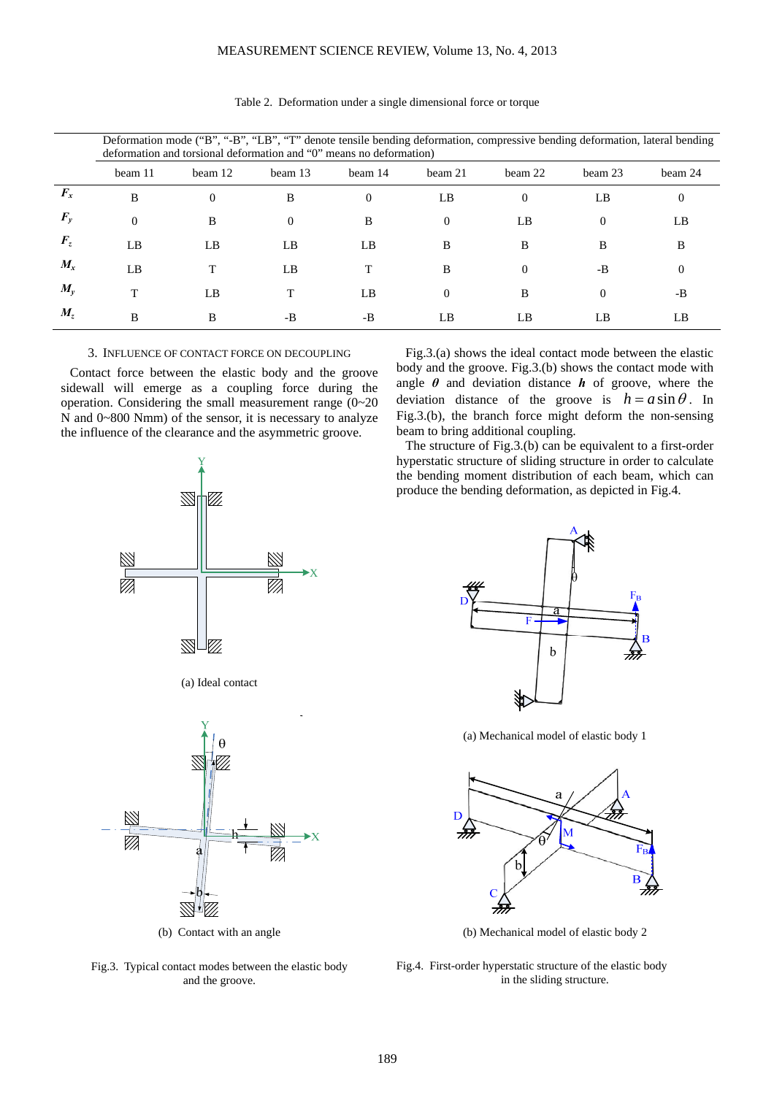|                 | Deformation mode ("B", "-B", "LB", "T" denote tensile bending deformation, compressive bending deformation, lateral bending<br>deformation and torsional deformation and "0" means no deformation) |          |                |          |          |          |          |          |
|-----------------|----------------------------------------------------------------------------------------------------------------------------------------------------------------------------------------------------|----------|----------------|----------|----------|----------|----------|----------|
|                 | beam 11                                                                                                                                                                                            | beam 12  | beam 13        | beam 14  | beam 21  | beam 22  | beam 23  | beam 24  |
| $F_{x}$         | B                                                                                                                                                                                                  | $\Omega$ | B              | $\Omega$ | LB       | $\Omega$ | LB       | $\theta$ |
| $F_{v}$         | $\Omega$                                                                                                                                                                                           | B        | $\overline{0}$ | B        | $\theta$ | LB       | 0        | LB       |
| $\bm{F}_{\tau}$ | LB                                                                                                                                                                                                 | LB       | LB             | LB.      | B        | B        | B        | B        |
| $M_{x}$         | LB                                                                                                                                                                                                 |          | LB             |          | B        | $\theta$ | -B       | $\Omega$ |
| $M_{v}$         |                                                                                                                                                                                                    | LB       |                | LB       | $\Omega$ | B        | $\Omega$ | $-B$     |
| $M_{\tau}$      | B                                                                                                                                                                                                  | B        | -B             | $-B$     | LB       | LB       | LB       | LB       |

Table 2. Deformation under a single dimensional force or torque

# 3. INFLUENCE OF CONTACT FORCE ON DECOUPLING

Contact force between the elastic body and the groove sidewall will emerge as a coupling force during the operation. Considering the small measurement range (0~20 N and 0~800 Nmm) of the sensor, it is necessary to analyze the influence of the clearance and the asymmetric groove.

> Y 111 X  $\mathbb{Z}$ Z. VI, (a) Ideal contact

(b) Contact with an angle

Fig.3. Typical contact modes between the elastic body and the groove.

Fig.3.(a) shows the ideal contact mode between the elastic body and the groove. Fig.3.(b) shows the contact mode with angle  $\theta$  and deviation distance  $\boldsymbol{h}$  of groove, where the deviation distance of the groove is  $h = a \sin \theta$ . In Fig.3.(b), the branch force might deform the non-sensing beam to bring additional coupling.

The structure of Fig.3.(b) can be equivalent to a first-order hyperstatic structure of sliding structure in order to calculate the bending moment distribution of each beam, which can produce the bending deformation, as depicted in Fig.4.



(a) Mechanical model of elastic body 1



(b) Mechanical model of elastic body 2

Fig.4. First-order hyperstatic structure of the elastic body in the sliding structure.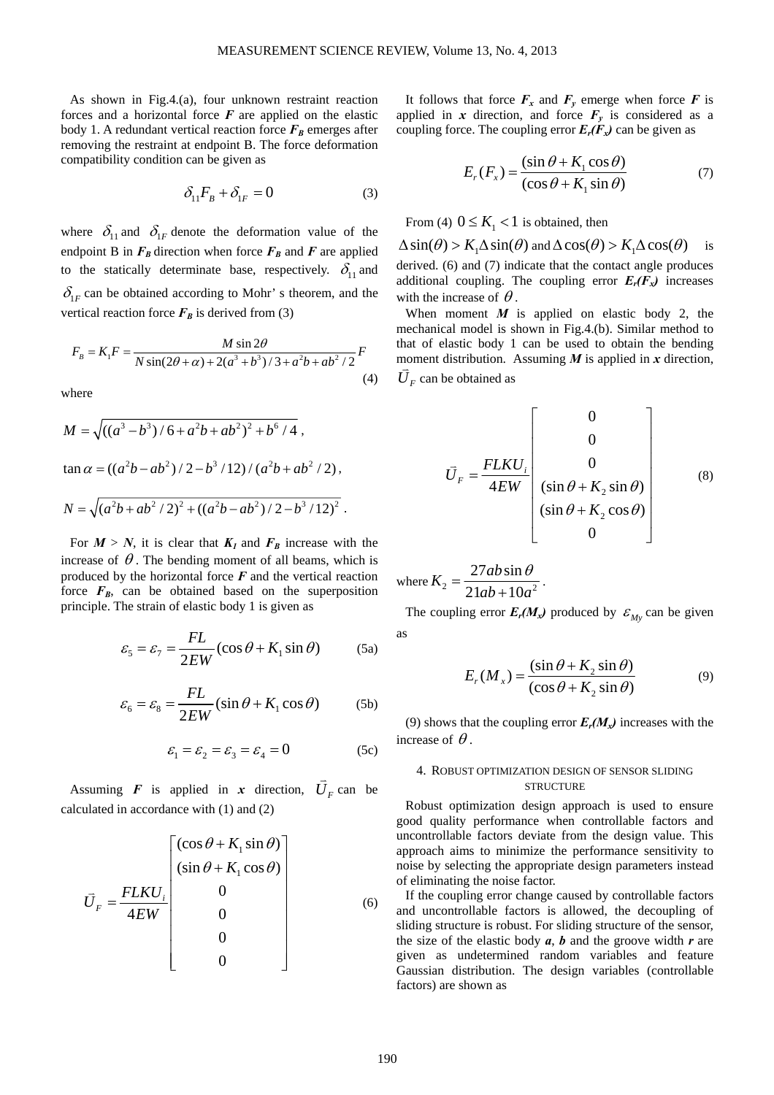As shown in Fig.4.(a), four unknown restraint reaction forces and a horizontal force  $F$  are applied on the elastic body 1. A redundant vertical reaction force  $F_B$  emerges after removing the restraint at endpoint B. The force deformation compatibility condition can be given as

$$
\delta_{11}F_B + \delta_{1F} = 0 \tag{3}
$$

where  $\delta_{11}$  and  $\delta_{1F}$  denote the deformation value of the endpoint B in  $F_B$  direction when force  $F_B$  and  $F$  are applied to the statically determinate base, respectively.  $\delta_{11}$  and  $\delta_{1F}$  can be obtained according to Mohr' s theorem, and the vertical reaction force  $F_B$  is derived from (3)

$$
F_B = K_1 F = \frac{M \sin 2\theta}{N \sin(2\theta + \alpha) + 2(a^3 + b^3)/3 + a^2b + ab^2/2} F
$$
\n(4)

where

$$
M = \sqrt{((a^3 - b^3)/6 + a^2b + ab^2)^2 + b^6/4} ,
$$
  
\n
$$
\tan \alpha = ((a^2b - ab^2)/2 - b^3/12) / (a^2b + ab^2/2),
$$
  
\n
$$
N = \sqrt{(a^2b + ab^2/2)^2 + ((a^2b - ab^2)/2 - b^3/12)^2}.
$$

For  $M > N$ , it is clear that  $K_I$  and  $F_B$  increase with the increase of  $\theta$ . The bending moment of all beams, which is produced by the horizontal force *F* and the vertical reaction force  $F_B$ , can be obtained based on the superposition principle. The strain of elastic body 1 is given as

$$
\varepsilon_{5} = \varepsilon_{7} = \frac{FL}{2EW} (\cos \theta + K_{1} \sin \theta) \tag{5a}
$$

$$
\varepsilon_{6} = \varepsilon_{8} = \frac{FL}{2EW} (\sin \theta + K_{1} \cos \theta) \tag{5b}
$$

$$
\varepsilon_1 = \varepsilon_2 = \varepsilon_3 = \varepsilon_4 = 0 \tag{5c}
$$

Assuming *F* is applied in *x* direction,  $\overrightarrow{U}_F$  can be calculated in accordance with (1) and (2)

$$
\vec{U}_F = \frac{FLKU_i}{4EW} \begin{bmatrix} (\cos\theta + K_1\sin\theta) \\ (\sin\theta + K_1\cos\theta) \\ 0 \\ 0 \\ 0 \\ 0 \end{bmatrix}
$$
 (6)

It follows that force  $F_x$  and  $F_y$  emerge when force  $F$  is applied in *x* direction, and force  $F_y$  is considered as a coupling force. The coupling error  $E_r(F_x)$  can be given as

$$
E_r(F_x) = \frac{(\sin \theta + K_1 \cos \theta)}{(\cos \theta + K_1 \sin \theta)}
$$
(7)

From (4)  $0 \leq K<sub>1</sub> < 1$  is obtained, then

 $\Delta \sin(\theta) > K_1 \Delta \sin(\theta)$  and  $\Delta \cos(\theta) > K_1 \Delta \cos(\theta)$  is derived. (6) and (7) indicate that the contact angle produces additional coupling. The coupling error  $E_r(F_x)$  increases

with the increase of  $\theta$ . When moment  $M$  is applied on elastic body 2, the mechanical model is shown in Fig.4.(b). Similar method to that of elastic body 1 can be used to obtain the bending moment distribution. Assuming *M* is applied in *x* direction,  $\overline{U}_F$  can be obtained as

$$
\overrightarrow{U}_F = \frac{FLKU_i}{4EW} \begin{bmatrix} 0 \\ 0 \\ 0 \\ (\sin \theta + K_2 \sin \theta) \\ (\sin \theta + K_2 \cos \theta) \\ 0 \end{bmatrix}
$$
 (8)

where  $K_2 = \frac{2 \times 10^8 \text{ m/s}}{21 \text{ ab} + 10 \text{ s}^2}$  $27ab \sin$  $21ab + 10$  $K_2 = \frac{27ab}{24b}$  $=\frac{27ab\sin\theta}{21ab+10a^2}.$ 

The coupling error  $E_r(M_x)$  produced by  $\mathcal{E}_{M_y}$  can be given as

$$
E_r(M_x) = \frac{(\sin \theta + K_2 \sin \theta)}{(\cos \theta + K_2 \sin \theta)}
$$
(9)

(9) shows that the coupling error  $E_r(M_x)$  increases with the increase of  $\theta$ .

## 4. ROBUST OPTIMIZATION DESIGN OF SENSOR SLIDING **STRUCTURE**

Robust optimization design approach is used to ensure good quality performance when controllable factors and uncontrollable factors deviate from the design value. This approach aims to minimize the performance sensitivity to noise by selecting the appropriate design parameters instead of eliminating the noise factor.

If the coupling error change caused by controllable factors and uncontrollable factors is allowed, the decoupling of sliding structure is robust. For sliding structure of the sensor, the size of the elastic body *a*, *b* and the groove width *r* are given as undetermined random variables and feature Gaussian distribution. The design variables (controllable factors) are shown as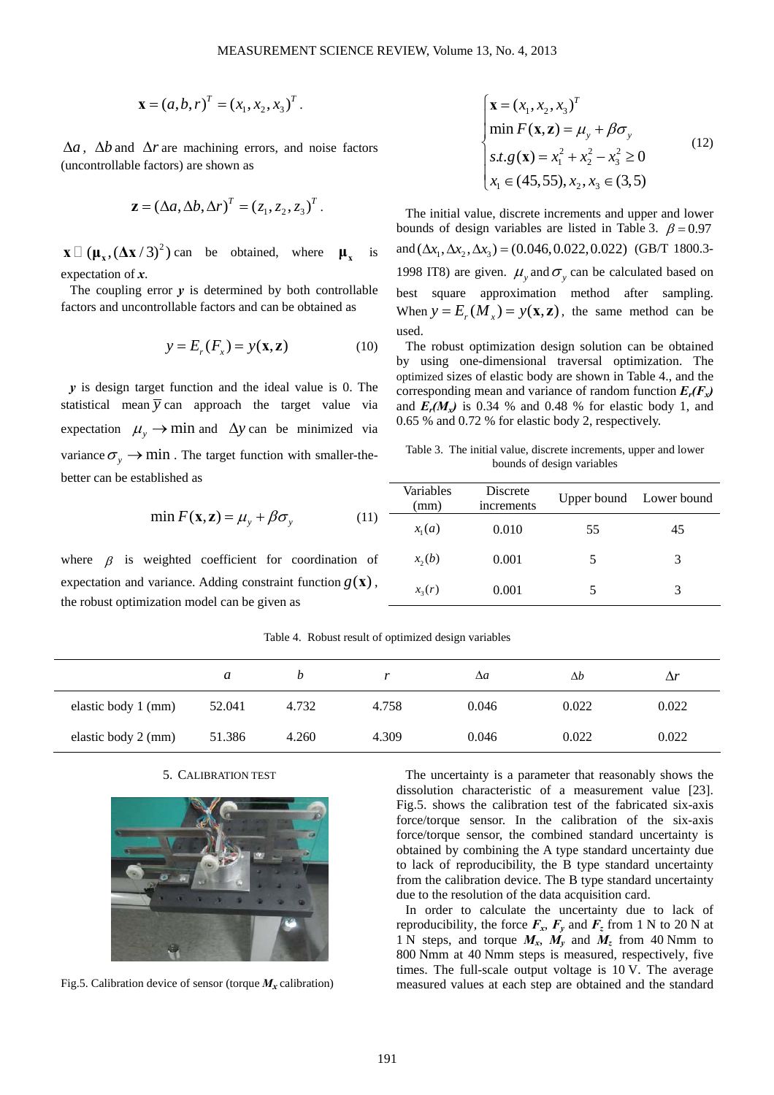$$
\mathbf{x} = (a, b, r)^{T} = (x_1, x_2, x_3)^{T}.
$$

 $\Delta a$ ,  $\Delta b$  and  $\Delta r$  are machining errors, and noise factors (uncontrollable factors) are shown as

$$
\mathbf{z} = (\Delta a, \Delta b, \Delta r)^T = (z_1, z_2, z_3)^T.
$$

 $\mathbf{X} \square (\mathbf{\mu}_{\mathbf{x}}, (\Delta \mathbf{X}/3)^2)$  can be obtained, where  $\mathbf{\mu}_{\mathbf{x}}$  is expectation of *x*.

The coupling error  $y$  is determined by both controllable factors and uncontrollable factors and can be obtained as

$$
y = Er(Fx) = y(\mathbf{x}, \mathbf{z})
$$
 (10)

*y* is design target function and the ideal value is 0. The statistical mean  $\overline{y}$  can approach the target value via expectation  $\mu$ <sub>*y*</sub>  $\rightarrow$  min and  $\Delta y$  can be minimized via variance  $\sigma_{\gamma} \rightarrow \min$ . The target function with smaller-thebetter can be established as

$$
\min F(\mathbf{x}, \mathbf{z}) = \mu_y + \beta \sigma_y \tag{11}
$$

where  $\beta$  is weighted coefficient for coordination of expectation and variance. Adding constraint function  $g(\mathbf{x})$ , the robust optimization model can be given as

$$
\begin{cases}\n\mathbf{x} = (x_1, x_2, x_3)^T \\
\min F(\mathbf{x}, \mathbf{z}) = \mu_y + \beta \sigma_y \\
s.t. g(\mathbf{x}) = x_1^2 + x_2^2 - x_3^2 \ge 0 \\
x_1 \in (45, 55), x_2, x_3 \in (3, 5)\n\end{cases}
$$
\n(12)

The initial value, discrete increments and upper and lower bounds of design variables are listed in Table 3.  $\beta = 0.97$ and  $(\Delta x_1, \Delta x_2, \Delta x_3) = (0.046, 0.022, 0.022)$  (GB/T 1800.3-1998 IT8) are given.  $\mu$ <sub>y</sub> and  $\sigma$ <sub>y</sub> can be calculated based on best square approximation method after sampling. When  $y = E_x(M_x) = y(\mathbf{x}, \mathbf{z})$ , the same method can be used.

The robust optimization design solution can be obtained by using one-dimensional traversal optimization. The optimized sizes of elastic body are shown in Table 4., and the corresponding mean and variance of random function  $E_r(F_x)$ and  $E_r(M_x)$  is 0.34 % and 0.48 % for elastic body 1, and 0.65 % and 0.72 % for elastic body 2, respectively.

Table 3. The initial value, discrete increments, upper and lower bounds of design variables

| Variables<br>(mm) | Discrete<br>increments |    | Upper bound Lower bound |
|-------------------|------------------------|----|-------------------------|
| $x_i(a)$          | 0.010                  | 55 | 45                      |
| $x_2(b)$          | 0.001                  | 5  | 3                       |
| $x_{2}(r)$        | 0.001                  |    |                         |

| Table 4. Robust result of optimized design variables |  |  |
|------------------------------------------------------|--|--|
|                                                      |  |  |

|                     | a      |       |       | $\Delta a$ | Δb    | Δr    |
|---------------------|--------|-------|-------|------------|-------|-------|
| elastic body 1 (mm) | 52.041 | 4.732 | 4.758 | 0.046      | 0.022 | 0.022 |
| elastic body 2 (mm) | 51.386 | 4.260 | 4.309 | 0.046      | 0.022 | 0.022 |

#### 5. CALIBRATION TEST



Fig.5. Calibration device of sensor (torque  $M_x$  calibration)

The uncertainty is a parameter that reasonably shows the dissolution characteristic of a measurement value [23]. Fig.5. shows the calibration test of the fabricated six-axis force/torque sensor. In the calibration of the six-axis force/torque sensor, the combined standard uncertainty is obtained by combining the A type standard uncertainty due to lack of reproducibility, the B type standard uncertainty from the calibration device. The B type standard uncertainty due to the resolution of the data acquisition card.

In order to calculate the uncertainty due to lack of reproducibility, the force  $F_x$ ,  $F_y$  and  $F_z$  from 1 N to 20 N at 1 N steps, and torque  $M_x$ ,  $M_y$  and  $M_z$  from 40 Nmm to 800 Nmm at 40 Nmm steps is measured, respectively, five times. The full-scale output voltage is 10 V. The average measured values at each step are obtained and the standard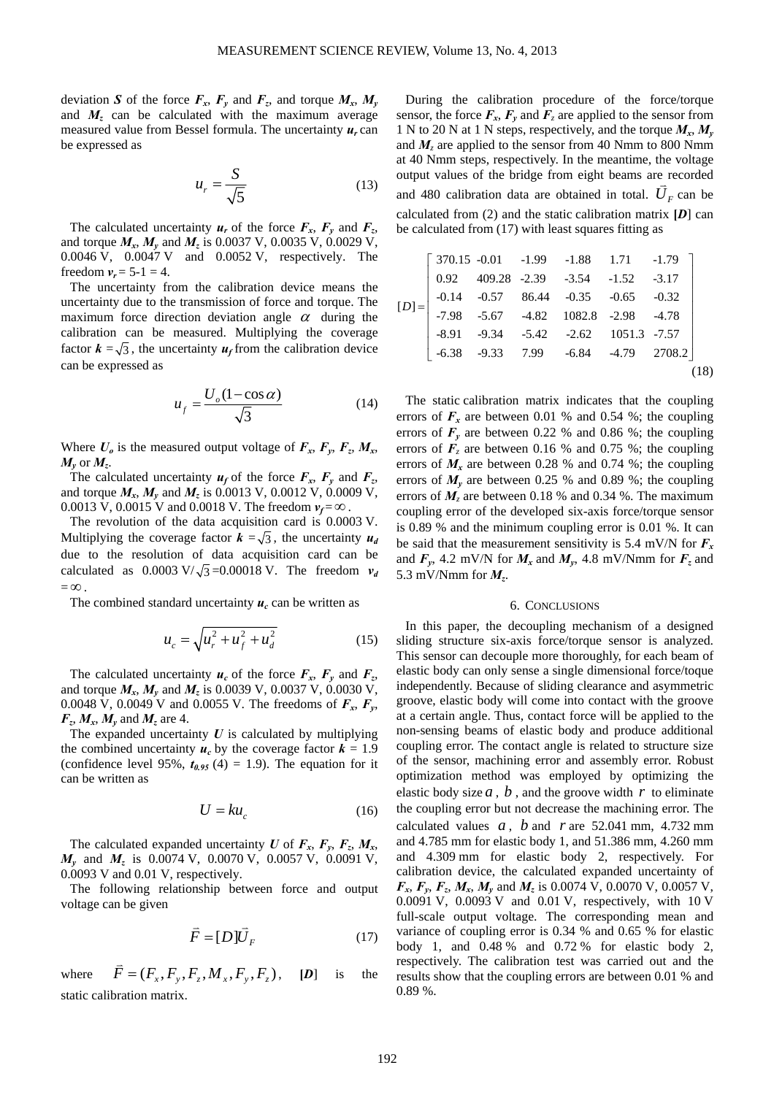deviation *S* of the force  $F_x$ ,  $F_y$  and  $F_z$ , and torque  $M_x$ ,  $M_y$ and  $M<sub>z</sub>$  can be calculated with the maximum average measured value from Bessel formula. The uncertainty *ur* can be expressed as

$$
u_r = \frac{S}{\sqrt{5}}\tag{13}
$$

The calculated uncertainty  $u_r$  of the force  $F_x$ ,  $F_y$  and  $F_z$ , and torque *Mx*, *My* and *Mz* is 0.0037 V, 0.0035 V, 0.0029 V, 0.0046 V, 0.0047 V and 0.0052 V, respectively. The freedom  $v_r = 5-1 = 4$ .

The uncertainty from the calibration device means the uncertainty due to the transmission of force and torque. The maximum force direction deviation angle  $\alpha$  during the calibration can be measured. Multiplying the coverage factor  $\mathbf{k} = \sqrt{3}$ , the uncertainty  $\mathbf{u}_f$  from the calibration device can be expressed as

$$
u_f = \frac{U_o (1 - \cos \alpha)}{\sqrt{3}}\tag{14}
$$

Where  $U_o$  is the measured output voltage of  $F_x$ ,  $F_y$ ,  $F_z$ ,  $M_x$ ,  $M_v$  or  $M_z$ .

The calculated uncertainty  $u_f$  of the force  $F_x$ ,  $F_y$  and  $F_z$ , and torque  $M_x$ ,  $M_y$  and  $M_z$  is 0.0013 V, 0.0012 V, 0.0009 V, 0.0013 V, 0.0015 V and 0.0018 V. The freedom  $v_f = \infty$ .

The revolution of the data acquisition card is 0.0003 V. Multiplying the coverage factor  $\mathbf{k} = \sqrt{3}$ , the uncertainty  $\mathbf{u}_d$ due to the resolution of data acquisition card can be calculated as  $0.0003 \text{ V}/\sqrt{3} = 0.00018 \text{ V}$ . The freedom  $v_d$  $= \infty$ 

The combined standard uncertainty  $u_c$  can be written as

$$
u_c = \sqrt{u_r^2 + u_f^2 + u_d^2}
$$
 (15)

The calculated uncertainty  $u_c$  of the force  $F_x$ ,  $F_y$  and  $F_z$ , and torque *Mx*, *My* and *Mz* is 0.0039 V, 0.0037 V, 0.0030 V, 0.0048 V, 0.0049 V and 0.0055 V. The freedoms of *Fx*, *Fy*,  $F_z$ ,  $M_x$ ,  $M_y$  and  $M_z$  are 4.

The expanded uncertainty  $U$  is calculated by multiplying the combined uncertainty  $u_c$  by the coverage factor  $k = 1.9$ (confidence level 95%,  $t_{0.95}$  (4) = 1.9). The equation for it can be written as

$$
U = ku_c \tag{16}
$$

The calculated expanded uncertainty *U* of  $F_x$ ,  $F_y$ ,  $F_z$ ,  $M_x$ , *M<sub>v</sub>* and *M<sub>z</sub>* is 0.0074 V, 0.0070 V, 0.0057 V, 0.0091 V, 0.0093 V and 0.01 V, respectively.

The following relationship between force and output voltage can be given

$$
\vec{F} = [D]\vec{U}_F \tag{17}
$$

where  $\vec{F} = (F_x, F_y, F_z, M_x, F_y, F_z)$ ,  $[D]$  is the static calibration matrix.

During the calibration procedure of the force/torque sensor, the force  $F_x$ ,  $F_y$  and  $F_z$  are applied to the sensor from 1 N to 20 N at 1 N steps, respectively, and the torque  $M_x, M_y$ and  $M_z$  are applied to the sensor from 40 Nmm to 800 Nmm at 40 Nmm steps, respectively. In the meantime, the voltage output values of the bridge from eight beams are recorded and 480 calibration data are obtained in total.  $\overline{U}_F$  can be calculated from (2) and the static calibration matrix **[***D*] can be calculated from (17) with least squares fitting as

$$
[D] = \begin{bmatrix} 370.15 & -0.01 & -1.99 & -1.88 & 1.71 & -1.79 \\ 0.92 & 409.28 & -2.39 & -3.54 & -1.52 & -3.17 \\ -0.14 & -0.57 & 86.44 & -0.35 & -0.65 & -0.32 \\ -7.98 & -5.67 & -4.82 & 1082.8 & -2.98 & -4.78 \\ -8.91 & -9.34 & -5.42 & -2.62 & 1051.3 & -7.57 \\ -6.38 & -9.33 & 7.99 & -6.84 & -4.79 & 2708.2 \end{bmatrix}
$$
(18)

The static calibration matrix indicates that the coupling errors of  $F_x$  are between 0.01 % and 0.54 %; the coupling errors of  $F_y$  are between 0.22 % and 0.86 %; the coupling errors of  $\mathbf{F}_z$  are between 0.16 % and 0.75 %; the coupling errors of  $M_x$  are between 0.28 % and 0.74 %; the coupling errors of  $M_v$  are between 0.25 % and 0.89 %; the coupling errors of  $M$ <sub>z</sub> are between 0.18 % and 0.34 %. The maximum coupling error of the developed six-axis force/torque sensor is 0.89 % and the minimum coupling error is 0.01 %. It can be said that the measurement sensitivity is 5.4 mV/N for  $F_x$ and  $F_y$ , 4.2 mV/N for  $M_x$  and  $M_y$ , 4.8 mV/Nmm for  $F_z$  and 5.3 mV/Nmm for *Mz*.

#### 6. CONCLUSIONS

In this paper, the decoupling mechanism of a designed sliding structure six-axis force/torque sensor is analyzed. This sensor can decouple more thoroughly, for each beam of elastic body can only sense a single dimensional force/toque independently. Because of sliding clearance and asymmetric groove, elastic body will come into contact with the groove at a certain angle. Thus, contact force will be applied to the non-sensing beams of elastic body and produce additional coupling error. The contact angle is related to structure size of the sensor, machining error and assembly error. Robust optimization method was employed by optimizing the elastic body size  $a, b$ , and the groove width  $r$  to eliminate the coupling error but not decrease the machining error. The calculated values  $a$ ,  $b$  and  $r$  are 52.041 mm, 4.732 mm and 4.785 mm for elastic body 1, and 51.386 mm, 4.260 mm and 4.309 mm for elastic body 2, respectively. For calibration device, the calculated expanded uncertainty of  $F_x$ ,  $F_y$ ,  $F_z$ ,  $M_x$ ,  $M_y$  and  $M_z$  is 0.0074 V, 0.0070 V, 0.0057 V, 0.0091 V, 0.0093 V and 0.01 V, respectively, with 10 V full-scale output voltage. The corresponding mean and variance of coupling error is 0.34 % and 0.65 % for elastic body 1, and 0.48 % and 0.72 % for elastic body 2, respectively. The calibration test was carried out and the results show that the coupling errors are between 0.01 % and 0.89 %.